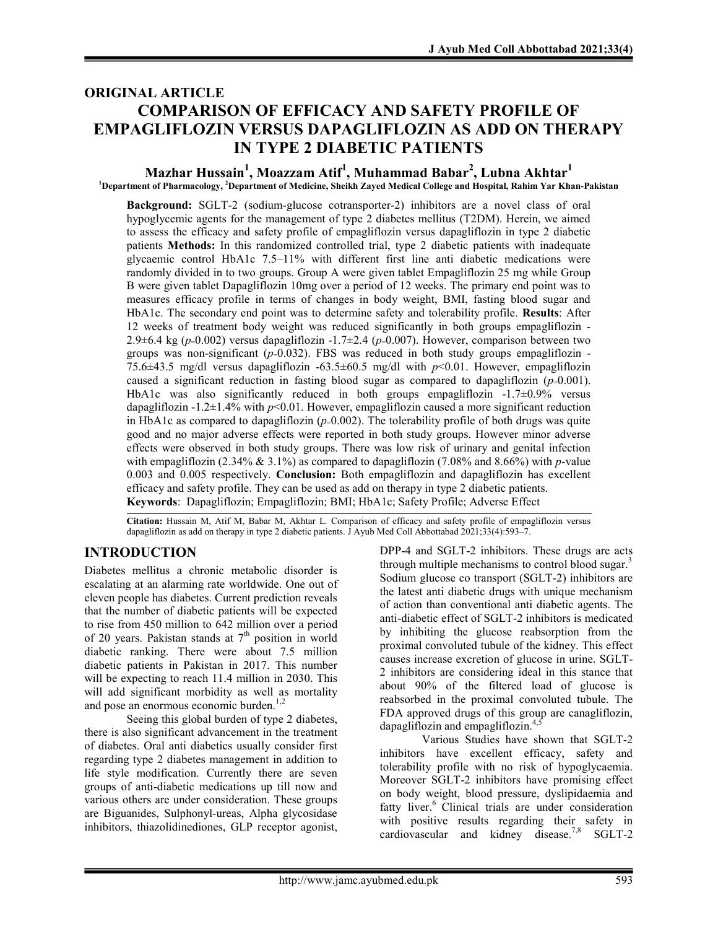# ORIGINAL ARTICLE COMPARISON OF EFFICACY AND SAFETY PROFILE OF EMPAGLIFLOZIN VERSUS DAPAGLIFLOZIN AS ADD ON THERAPY IN TYPE 2 DIABETIC PATIENTS

# Mazhar Hussain $^1$ , Moazzam Atif $^1$ , Muhammad Babar $^2$ , Lubna Akhtar $^1$

<sup>1</sup>Department of Pharmacology, <sup>2</sup>Department of Medicine, Sheikh Zayed Medical College and Hospital, Rahim Yar Khan-Pakistan

Background: SGLT-2 (sodium-glucose cotransporter-2) inhibitors are a novel class of oral hypoglycemic agents for the management of type 2 diabetes mellitus (T2DM). Herein, we aimed to assess the efficacy and safety profile of empagliflozin versus dapagliflozin in type 2 diabetic patients Methods: In this randomized controlled trial, type 2 diabetic patients with inadequate glycaemic control HbA1c 7.5–11% with different first line anti diabetic medications were randomly divided in to two groups. Group A were given tablet Empagliflozin 25 mg while Group B were given tablet Dapagliflozin 10mg over a period of 12 weeks. The primary end point was to measures efficacy profile in terms of changes in body weight, BMI, fasting blood sugar and HbA1c. The secondary end point was to determine safety and tolerability profile. Results: After 12 weeks of treatment body weight was reduced significantly in both groups empagliflozin - 2.9 $\pm$ 6.4 kg (p=0.002) versus dapagliflozin -1.7 $\pm$ 2.4 (p=0.007). However, comparison between two groups was non-significant  $(p=0.032)$ . FBS was reduced in both study groups empagliflozin -75.6 $\pm$ 43.5 mg/dl versus dapagliflozin -63.5 $\pm$ 60.5 mg/dl with p<0.01. However, empagliflozin caused a significant reduction in fasting blood sugar as compared to dapagliflozin ( $p=0.001$ ). HbA1c was also significantly reduced in both groups empagliflozin  $-1.7\pm0.9\%$  versus dapagliflozin -1.2 $\pm$ 1.4% with p<0.01. However, empagliflozin caused a more significant reduction in HbA1c as compared to dapagliflozin  $(p=0.002)$ . The tolerability profile of both drugs was quite good and no major adverse effects were reported in both study groups. However minor adverse effects were observed in both study groups. There was low risk of urinary and genital infection with empagliflozin (2.34%  $\&$  3.1%) as compared to dapagliflozin (7.08% and 8.66%) with p-value 0.003 and 0.005 respectively. Conclusion: Both empagliflozin and dapagliflozin has excellent efficacy and safety profile. They can be used as add on therapy in type 2 diabetic patients. Keywords: Dapagliflozin; Empagliflozin; BMI; HbA1c; Safety Profile; Adverse Effect

Citation: Hussain M, Atif M, Babar M, Akhtar L. Comparison of efficacy and safety profile of empagliflozin versus dapagliflozin as add on therapy in type 2 diabetic patients. J Ayub Med Coll Abbottabad 2021;33(4):593-7.

# INTRODUCTION

Diabetes mellitus a chronic metabolic disorder is escalating at an alarming rate worldwide. One out of eleven people has diabetes. Current prediction reveals that the number of diabetic patients will be expected to rise from 450 million to 642 million over a period of 20 years. Pakistan stands at  $7<sup>th</sup>$  position in world diabetic ranking. There were about 7.5 million diabetic patients in Pakistan in 2017. This number will be expecting to reach 11.4 million in 2030. This will add significant morbidity as well as mortality and pose an enormous economic burden.<sup>1,2</sup>

Seeing this global burden of type 2 diabetes, there is also significant advancement in the treatment of diabetes. Oral anti diabetics usually consider first regarding type 2 diabetes management in addition to life style modification. Currently there are seven groups of anti-diabetic medications up till now and various others are under consideration. These groups are Biguanides, Sulphonyl-ureas, Alpha glycosidase inhibitors, thiazolidinediones, GLP receptor agonist,

DPP-4 and SGLT-2 inhibitors. These drugs are acts through multiple mechanisms to control blood sugar.<sup>3</sup> Sodium glucose co transport (SGLT-2) inhibitors are the latest anti diabetic drugs with unique mechanism of action than conventional anti diabetic agents. The anti-diabetic effect of SGLT-2 inhibitors is medicated by inhibiting the glucose reabsorption from the proximal convoluted tubule of the kidney. This effect causes increase excretion of glucose in urine. SGLT-2 inhibitors are considering ideal in this stance that about 90% of the filtered load of glucose is reabsorbed in the proximal convoluted tubule. The FDA approved drugs of this group are canagliflozin, dapagliflozin and empagliflozin. $4,5$ 

Various Studies have shown that SGLT-2 inhibitors have excellent efficacy, safety and tolerability profile with no risk of hypoglycaemia. Moreover SGLT-2 inhibitors have promising effect on body weight, blood pressure, dyslipidaemia and fatty liver.<sup>6</sup> Clinical trials are under consideration with positive results regarding their safety in cardiovascular and kidney disease.<sup>7,8</sup> SGLT-2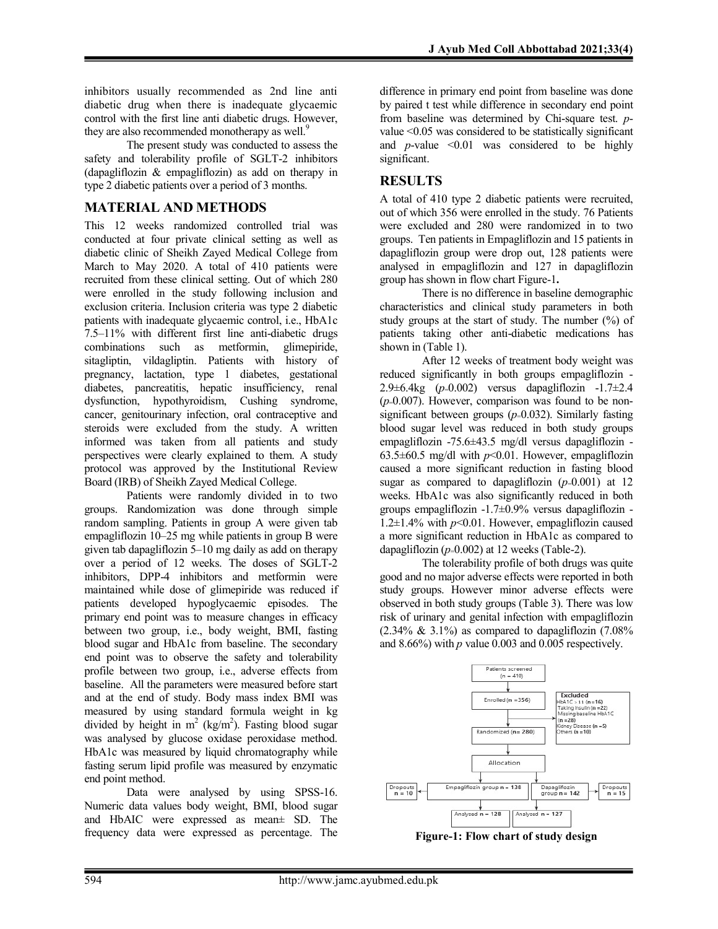inhibitors usually recommended as 2nd line anti diabetic drug when there is inadequate glycaemic control with the first line anti diabetic drugs. However, they are also recommended monotherapy as well.<sup>9</sup>

The present study was conducted to assess the safety and tolerability profile of SGLT-2 inhibitors (dapagliflozin & empagliflozin) as add on therapy in type 2 diabetic patients over a period of 3 months.

## MATERIAL AND METHODS

This 12 weeks randomized controlled trial was conducted at four private clinical setting as well as diabetic clinic of Sheikh Zayed Medical College from March to May 2020. A total of 410 patients were recruited from these clinical setting. Out of which 280 were enrolled in the study following inclusion and exclusion criteria. Inclusion criteria was type 2 diabetic patients with inadequate glycaemic control, i.e., HbA1c 7.5–11% with different first line anti-diabetic drugs combinations such as metformin, glimepiride, sitagliptin, vildagliptin. Patients with history of pregnancy, lactation, type 1 diabetes, gestational diabetes, pancreatitis, hepatic insufficiency, renal dysfunction, hypothyroidism, Cushing syndrome, cancer, genitourinary infection, oral contraceptive and steroids were excluded from the study. A written informed was taken from all patients and study perspectives were clearly explained to them. A study protocol was approved by the Institutional Review Board (IRB) of Sheikh Zayed Medical College.

Patients were randomly divided in to two groups. Randomization was done through simple random sampling. Patients in group A were given tab empagliflozin 10–25 mg while patients in group B were given tab dapagliflozin 5–10 mg daily as add on therapy over a period of 12 weeks. The doses of SGLT-2 inhibitors, DPP-4 inhibitors and metformin were maintained while dose of glimepiride was reduced if patients developed hypoglycaemic episodes. The primary end point was to measure changes in efficacy between two group, i.e., body weight, BMI, fasting blood sugar and HbA1c from baseline. The secondary end point was to observe the safety and tolerability profile between two group, i.e., adverse effects from baseline. All the parameters were measured before start and at the end of study. Body mass index BMI was measured by using standard formula weight in kg divided by height in  $m^2$  (kg/m<sup>2</sup>). Fasting blood sugar was analysed by glucose oxidase peroxidase method. HbA1c was measured by liquid chromatography while fasting serum lipid profile was measured by enzymatic end point method.

Data were analysed by using SPSS-16. Numeric data values body weight, BMI, blood sugar and HbAIC were expressed as mean± SD. The frequency data were expressed as percentage. The difference in primary end point from baseline was done by paired t test while difference in secondary end point from baseline was determined by Chi-square test. pvalue <0.05 was considered to be statistically significant and *p*-value  $\leq 0.01$  was considered to be highly significant.

## RESULTS

A total of 410 type 2 diabetic patients were recruited, out of which 356 were enrolled in the study. 76 Patients were excluded and 280 were randomized in to two groups. Ten patients in Empagliflozin and 15 patients in dapagliflozin group were drop out, 128 patients were analysed in empagliflozin and 127 in dapagliflozin group has shown in flow chart Figure-1.

There is no difference in baseline demographic characteristics and clinical study parameters in both study groups at the start of study. The number (%) of patients taking other anti-diabetic medications has shown in (Table 1).

After 12 weeks of treatment body weight was reduced significantly in both groups empagliflozin - 2.9 $\pm$ 6.4kg (p=0.002) versus dapagliflozin -1.7 $\pm$ 2.4  $(p=0.007)$ . However, comparison was found to be nonsignificant between groups  $(p=0.032)$ . Similarly fasting blood sugar level was reduced in both study groups empagliflozin -75.6±43.5 mg/dl versus dapagliflozin - 63.5 $\pm$ 60.5 mg/dl with  $p$ <0.01. However, empagliflozin caused a more significant reduction in fasting blood sugar as compared to dapagliflozin  $(p=0.001)$  at 12 weeks. HbA1c was also significantly reduced in both groups empagliflozin -1.7±0.9% versus dapagliflozin - 1.2 $\pm$ 1.4% with  $p$ <0.01. However, empagliflozin caused a more significant reduction in HbA1c as compared to dapagliflozin ( $p=0.002$ ) at 12 weeks (Table-2).

The tolerability profile of both drugs was quite good and no major adverse effects were reported in both study groups. However minor adverse effects were observed in both study groups (Table 3). There was low risk of urinary and genital infection with empagliflozin  $(2.34\% \& 3.1\%)$  as compared to dapagliflozin  $(7.08\%)$ and  $8.66\%$ ) with p value 0.003 and 0.005 respectively.



Figure-1: Flow chart of study design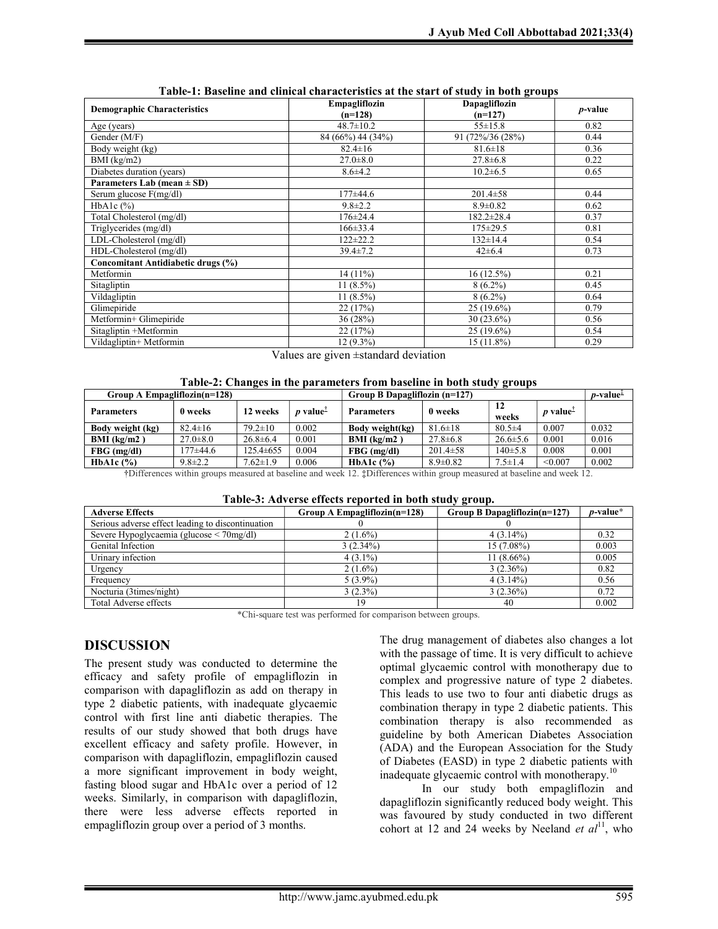| <b>Demographic Characteristics</b> | Empagliflozin<br>$(n=128)$ | $\sim$<br>Dapagliflozin<br>$(n=127)$ | <i>p</i> -value |
|------------------------------------|----------------------------|--------------------------------------|-----------------|
| Age (years)                        | $48.7 \pm 10.2$            | $55 \pm 15.8$                        | 0.82            |
| Gender (M/F)                       | 84 (66%) 44 (34%)          | 91 (72%/36 (28%)                     | 0.44            |
| Body weight (kg)                   | $82.4 \pm 16$              | $81.6 \pm 18$                        | 0.36            |
| $BMI$ (kg/m2)                      | $27.0 \pm 8.0$             | $27.8 \pm 6.8$                       | 0.22            |
| Diabetes duration (years)          | $8.6{\pm}4.2$              | $10.2 \pm 6.5$                       | 0.65            |
| Parameters Lab (mean $\pm$ SD)     |                            |                                      |                 |
| Serum glucose $F(mg/dl)$           | 177±44.6                   | $201.4 \pm 58$                       | 0.44            |
| HbAlc $(\%)$                       | $9.8 \pm 2.2$              | $8.9 \pm 0.82$                       | 0.62            |
| Total Cholesterol (mg/dl)          | $176 \pm 24.4$             | $182.2 \pm 28.4$                     | 0.37            |
| Triglycerides (mg/dl)              | $166 \pm 33.4$             | $175 \pm 29.5$                       | 0.81            |
| LDL-Cholesterol (mg/dl)            | $122 + 22.2$               | $132 \pm 14.4$                       | 0.54            |
| HDL-Cholesterol (mg/dl)            | $39.4 \pm 7.2$             | $42 \pm 6.4$                         | 0.73            |
| Concomitant Antidiabetic drugs (%) |                            |                                      |                 |
| Metformin                          | 14(11%)                    | $16(12.5\%)$                         | 0.21            |
| Sitagliptin                        | $11(8.5\%)$                | $8(6.2\%)$                           | 0.45            |
| Vildagliptin                       | $11(8.5\%)$                | $8(6.2\%)$                           | 0.64            |
| Glimepiride                        | 22(17%)                    | 25 (19.6%)                           | 0.79            |
| Metformin+ Glimepiride             | 36 (28%)                   | $30(23.6\%)$                         | 0.56            |
| Sitagliptin +Metformin             | 22 (17%)                   | $25(19.6\%)$                         | 0.54            |
| Vildagliptin+ Metformin            | $12(9.3\%)$                | $15(11.8\%)$                         | 0.29            |

| Table-1: Baseline and clinical characteristics at the start of study in both groups |  |
|-------------------------------------------------------------------------------------|--|
|-------------------------------------------------------------------------------------|--|

Values are given ±standard deviation

| Table-2: Changes in the parameters from baseline in both study groups |  |  |  |
|-----------------------------------------------------------------------|--|--|--|
|-----------------------------------------------------------------------|--|--|--|

| Group A Empagliflozin( $n=128$ ) |                | Group B Dapagliflozin (n=127) |                        |                   |                | $p$ -value <sup><math>\bar{x}</math></sup> |                                          |       |
|----------------------------------|----------------|-------------------------------|------------------------|-------------------|----------------|--------------------------------------------|------------------------------------------|-------|
| <b>Parameters</b>                | 0 weeks        | 12 weeks                      | $p$ value <sup>T</sup> | <b>Parameters</b> | 0 weeks        | 12<br>weeks                                | <i>p</i> value <sup><math>I</math></sup> |       |
| Body weight (kg)                 | $82.4 \pm 16$  | $79.2 \pm 10$                 | 0.002                  | Body weight(kg)   | $81.6 \pm 18$  | $80.5 \pm 4$                               | 0.007                                    | 0.032 |
| $BMI$ (kg/m2)                    | $27.0 \pm 8.0$ | $26.8 \pm 6.4$                | 0.001                  | $BMI$ (kg/m2)     | $27.8 \pm 6.8$ | $26.6 \pm 5.6$                             | 0.001                                    | 0.016 |
| $FBG$ (mg/dl)                    | .77±44.6       | $125.4 \pm 655$               | 0.004                  | $FBG$ (mg/dl)     | $201.4 \pm 58$ | $140 + 5.8$                                | 0.008                                    | 0.001 |
| HbA1c $(\% )$                    | $9.8 \pm 2.2$  | $.62 \pm 1.9$                 | 0.006                  | HbA1c $(% )$      | $8.9 \pm 0.82$ | $7.5 \pm 1.4$                              | < 0.007                                  | 0.002 |

†Differences within groups measured at baseline and week 12. ‡Differences within group measured at baseline and week 12.

| Table-3: Adverse effects reported in both study group. |  |  |  |  |
|--------------------------------------------------------|--|--|--|--|
|                                                        |  |  |  |  |

| <b>Adverse Effects</b>                            | Twore of the veloc encers reported in both study group.<br>Group A Empaglificain( $n=128$ ) | Group B Dapagliflozin(n=127) | $p$ -value* |
|---------------------------------------------------|---------------------------------------------------------------------------------------------|------------------------------|-------------|
| Serious adverse effect leading to discontinuation |                                                                                             |                              |             |
| Severe Hypoglycaemia (glucose < 70mg/dl)          | $2(1.6\%)$                                                                                  | $4(3.14\%)$                  | 0.32        |
| Genital Infection                                 | $3(2.34\%)$                                                                                 | $15(7.08\%)$                 | 0.003       |
| Urinary infection                                 | $4(3.1\%)$                                                                                  | $11(8.66\%)$                 | 0.005       |
| Urgency                                           | $2(1.6\%)$                                                                                  | $3(2.36\%)$                  | 0.82        |
| Frequency                                         | $5(3.9\%)$                                                                                  | $4(3.14\%)$                  | 0.56        |
| Nocturia (3times/night)                           | $3(2.3\%)$                                                                                  | $3(2.36\%)$                  | 0.72        |
| Total Adverse effects                             | 19                                                                                          | 40                           | 0.002       |

\*Chi-square test was performed for comparison between groups.

### DISCUSSION

The present study was conducted to determine the efficacy and safety profile of empagliflozin in comparison with dapagliflozin as add on therapy in type 2 diabetic patients, with inadequate glycaemic control with first line anti diabetic therapies. The results of our study showed that both drugs have excellent efficacy and safety profile. However, in comparison with dapagliflozin, empagliflozin caused a more significant improvement in body weight, fasting blood sugar and HbA1c over a period of 12 weeks. Similarly, in comparison with dapagliflozin, there were less adverse effects reported in empagliflozin group over a period of 3 months.

The drug management of diabetes also changes a lot with the passage of time. It is very difficult to achieve optimal glycaemic control with monotherapy due to complex and progressive nature of type 2 diabetes. This leads to use two to four anti diabetic drugs as combination therapy in type 2 diabetic patients. This combination therapy is also recommended as guideline by both American Diabetes Association (ADA) and the European Association for the Study of Diabetes (EASD) in type 2 diabetic patients with inadequate glycaemic control with monotherapy. $^{10}$ 

In our study both empagliflozin and dapagliflozin significantly reduced body weight. This was favoured by study conducted in two different cohort at 12 and 24 weeks by Neeland *et al*<sup>11</sup>, who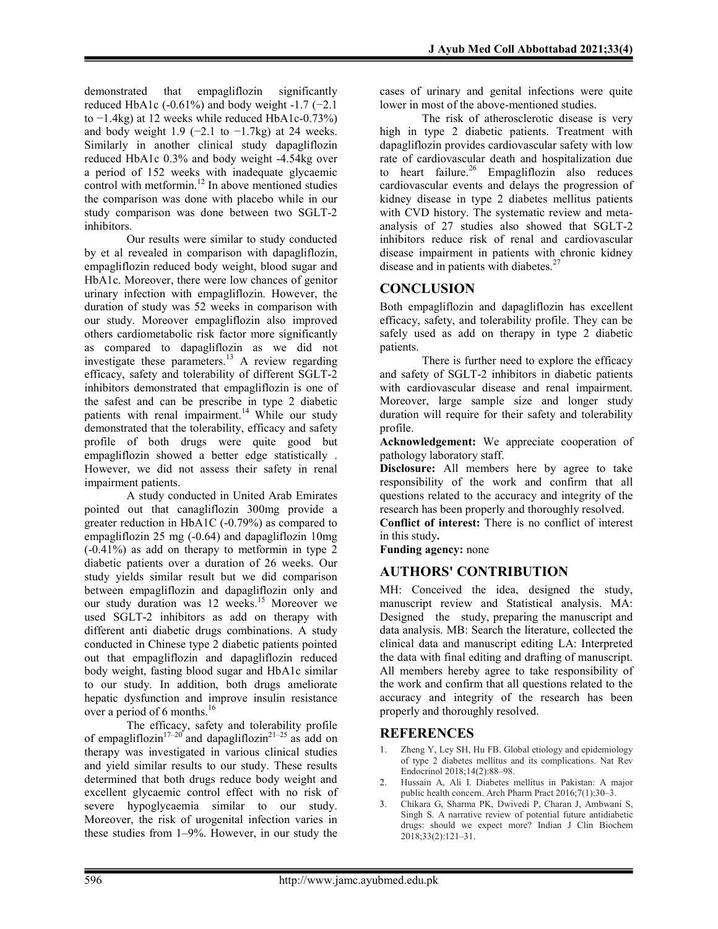demonstrated that empagliflozin significantly reduced HbA1c (-0.61%) and body weight -1.7 (-2.1) to −1.4kg) at 12 weeks while reduced HbA1c-0.73%) and body weight 1.9 ( $-2.1$  to  $-1.7$ kg) at 24 weeks. Similarly in another clinical study dapagliflozin reduced HbA1c 0.3% and body weight -4.54kg over a period of 152 weeks with inadequate glycaemic control with metformin.<sup>12</sup> In above mentioned studies the comparison was done with placebo while in our study comparison was done between two SGLT-2 inhibitors.

Our results were similar to study conducted by et al revealed in comparison with dapagliflozin, empagliflozin reduced body weight, blood sugar and HbA1c. Moreover, there were low chances of genitor urinary infection with empagliflozin. However, the duration of study was 52 weeks in comparison with our study. Moreover empagliflozin also improved others cardiometabolic risk factor more significantly as compared to dapagliflozin as we did not investigate these parameters.<sup>13</sup> A review regarding efficacy, safety and tolerability of different SGLT-2 inhibitors demonstrated that empagliflozin is one of the safest and can be prescribe in type 2 diabetic patients with renal impairment.<sup>14</sup> While our study demonstrated that the tolerability, efficacy and safety profile of both drugs were quite good but empagliflozin showed a better edge statistically . However, we did not assess their safety in renal impairment patients.

A study conducted in United Arab Emirates pointed out that canagliflozin 300mg provide a greater reduction in HbA1C (-0.79%) as compared to empagliflozin 25 mg (-0.64) and dapagliflozin 10mg (-0.41%) as add on therapy to metformin in type 2 diabetic patients over a duration of 26 weeks. Our study yields similar result but we did comparison between empagliflozin and dapagliflozin only and our study duration was 12 weeks.<sup>15</sup> Moreover we used SGLT-2 inhibitors as add on therapy with different anti diabetic drugs combinations. A study conducted in Chinese type 2 diabetic patients pointed out that empagliflozin and dapagliflozin reduced body weight, fasting blood sugar and HbA1c similar to our study. In addition, both drugs ameliorate hepatic dysfunction and improve insulin resistance over a period of 6 months.<sup>16</sup>

The efficacy, safety and tolerability profile of empagliflozin<sup>17–20</sup> and dapagliflozin<sup>21–25</sup> as add on therapy was investigated in various clinical studies and yield similar results to our study. These results determined that both drugs reduce body weight and excellent glycaemic control effect with no risk of severe hypoglycaemia similar to our study. Moreover, the risk of urogenital infection varies in these studies from 1–9%. However, in our study the

cases of urinary and genital infections were quite lower in most of the above-mentioned studies.

The risk of atherosclerotic disease is very high in type 2 diabetic patients. Treatment with dapagliflozin provides cardiovascular safety with low rate of cardiovascular death and hospitalization due to heart failure.<sup>26</sup> Empagliflozin also reduces cardiovascular events and delays the progression of kidney disease in type 2 diabetes mellitus patients with CVD history. The systematic review and metaanalysis of 27 studies also showed that SGLT-2 inhibitors reduce risk of renal and cardiovascular disease impairment in patients with chronic kidney disease and in patients with diabetes.<sup>27</sup>

# **CONCLUSION**

Both empagliflozin and dapagliflozin has excellent efficacy, safety, and tolerability profile. They can be safely used as add on therapy in type 2 diabetic patients.

There is further need to explore the efficacy and safety of SGLT-2 inhibitors in diabetic patients with cardiovascular disease and renal impairment. Moreover, large sample size and longer study duration will require for their safety and tolerability profile.

Acknowledgement: We appreciate cooperation of pathology laboratory staff.

Disclosure: All members here by agree to take responsibility of the work and confirm that all questions related to the accuracy and integrity of the research has been properly and thoroughly resolved.

Conflict of interest: There is no conflict of interest in this study.

Funding agency: none

### AUTHORS' CONTRIBUTION

MH: Conceived the idea, designed the study, manuscript review and Statistical analysis. MA: Designed the study, preparing the manuscript and data analysis. MB: Search the literature, collected the clinical data and manuscript editing LA: Interpreted the data with final editing and drafting of manuscript. All members hereby agree to take responsibility of the work and confirm that all questions related to the accuracy and integrity of the research has been properly and thoroughly resolved.

### REFERENCES

- 1. Zheng Y, Ley SH, Hu FB. Global etiology and epidemiology of type 2 diabetes mellitus and its complications. Nat Rev Endocrinol 2018;14(2):88–98.
- 2. Hussain A, Ali I. Diabetes mellitus in Pakistan: A major public health concern. Arch Pharm Pract 2016;7(1):30–3.
- 3. Chikara G, Sharma PK, Dwivedi P, Charan J, Ambwani S, Singh S. A narrative review of potential future antidiabetic drugs: should we expect more? Indian J Clin Biochem 2018;33(2):121–31.